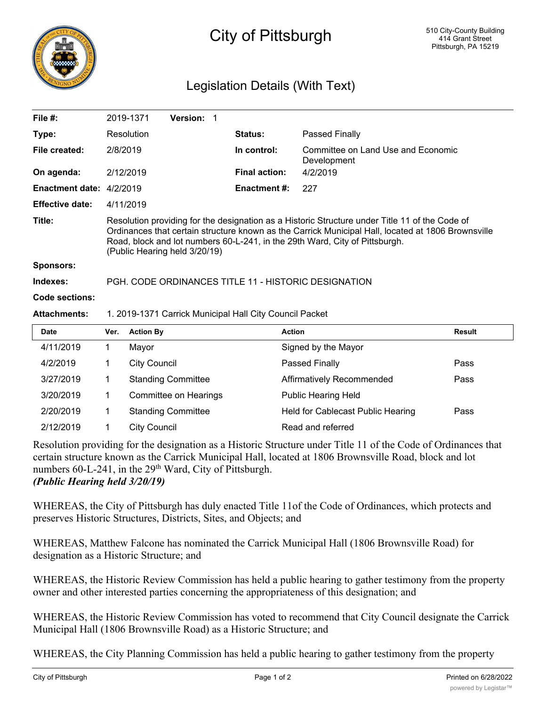

## City of Pittsburgh

## Legislation Details (With Text)

|                          |                                                                                                                                                                                                                                                                                                                      | 2019-1371           | Version: 1                |  |                                                         |                                                   |               |
|--------------------------|----------------------------------------------------------------------------------------------------------------------------------------------------------------------------------------------------------------------------------------------------------------------------------------------------------------------|---------------------|---------------------------|--|---------------------------------------------------------|---------------------------------------------------|---------------|
| Type:                    |                                                                                                                                                                                                                                                                                                                      | Resolution          |                           |  | <b>Status:</b>                                          | Passed Finally                                    |               |
| File created:            | 2/8/2019                                                                                                                                                                                                                                                                                                             |                     |                           |  | In control:                                             | Committee on Land Use and Economic<br>Development |               |
| On agenda:               |                                                                                                                                                                                                                                                                                                                      | 2/12/2019           |                           |  | <b>Final action:</b>                                    | 4/2/2019                                          |               |
| Enactment date: 4/2/2019 |                                                                                                                                                                                                                                                                                                                      |                     |                           |  | <b>Enactment #:</b>                                     | 227                                               |               |
| <b>Effective date:</b>   |                                                                                                                                                                                                                                                                                                                      | 4/11/2019           |                           |  |                                                         |                                                   |               |
| Title:                   | Resolution providing for the designation as a Historic Structure under Title 11 of the Code of<br>Ordinances that certain structure known as the Carrick Municipal Hall, located at 1806 Brownsville<br>Road, block and lot numbers 60-L-241, in the 29th Ward, City of Pittsburgh.<br>(Public Hearing held 3/20/19) |                     |                           |  |                                                         |                                                   |               |
| Sponsors:                |                                                                                                                                                                                                                                                                                                                      |                     |                           |  |                                                         |                                                   |               |
| Indexes:                 | PGH, CODE ORDINANCES TITLE 11 - HISTORIC DESIGNATION                                                                                                                                                                                                                                                                 |                     |                           |  |                                                         |                                                   |               |
|                          |                                                                                                                                                                                                                                                                                                                      |                     |                           |  |                                                         |                                                   |               |
| Code sections:           |                                                                                                                                                                                                                                                                                                                      |                     |                           |  |                                                         |                                                   |               |
| <b>Attachments:</b>      |                                                                                                                                                                                                                                                                                                                      |                     |                           |  | 1. 2019-1371 Carrick Municipal Hall City Council Packet |                                                   |               |
| <b>Date</b>              | Ver.                                                                                                                                                                                                                                                                                                                 | <b>Action By</b>    |                           |  |                                                         | <b>Action</b>                                     | <b>Result</b> |
| 4/11/2019                | 1                                                                                                                                                                                                                                                                                                                    | Mayor               |                           |  |                                                         | Signed by the Mayor                               |               |
| 4/2/2019                 | 1                                                                                                                                                                                                                                                                                                                    | <b>City Council</b> |                           |  |                                                         | Passed Finally                                    | Pass          |
| 3/27/2019                | 1.                                                                                                                                                                                                                                                                                                                   |                     | <b>Standing Committee</b> |  |                                                         | Affirmatively Recommended                         | Pass          |
| 3/20/2019                | 1                                                                                                                                                                                                                                                                                                                    |                     | Committee on Hearings     |  |                                                         | <b>Public Hearing Held</b>                        |               |

Resolution providing for the designation as a Historic Structure under Title 11 of the Code of Ordinances that certain structure known as the Carrick Municipal Hall, located at 1806 Brownsville Road, block and lot numbers 60-L-241, in the 29<sup>th</sup> Ward, City of Pittsburgh. *(Public Hearing held 3/20/19)*

2/12/2019 1 City Council 2012 Read and referred

WHEREAS, the City of Pittsburgh has duly enacted Title 11of the Code of Ordinances, which protects and preserves Historic Structures, Districts, Sites, and Objects; and

WHEREAS, Matthew Falcone has nominated the Carrick Municipal Hall (1806 Brownsville Road) for designation as a Historic Structure; and

WHEREAS, the Historic Review Commission has held a public hearing to gather testimony from the property owner and other interested parties concerning the appropriateness of this designation; and

WHEREAS, the Historic Review Commission has voted to recommend that City Council designate the Carrick Municipal Hall (1806 Brownsville Road) as a Historic Structure; and

WHEREAS, the City Planning Commission has held a public hearing to gather testimony from the property